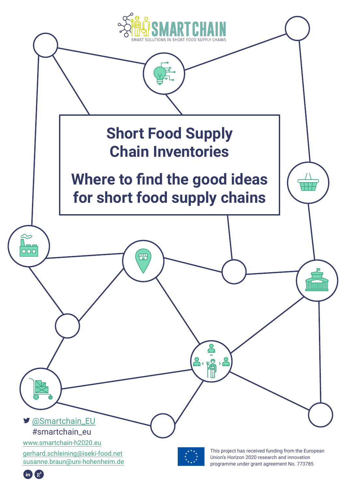